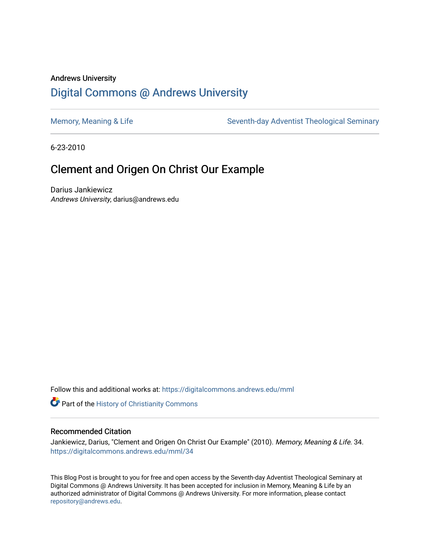## Andrews University [Digital Commons @ Andrews University](https://digitalcommons.andrews.edu/)

[Memory, Meaning & Life](https://digitalcommons.andrews.edu/mml) Seventh-day Adventist Theological Seminary

6-23-2010

## Clement and Origen On Christ Our Example

Darius Jankiewicz Andrews University, darius@andrews.edu

Follow this and additional works at: [https://digitalcommons.andrews.edu/mml](https://digitalcommons.andrews.edu/mml?utm_source=digitalcommons.andrews.edu%2Fmml%2F34&utm_medium=PDF&utm_campaign=PDFCoverPages) 

**Part of the History of Christianity Commons** 

#### Recommended Citation

Jankiewicz, Darius, "Clement and Origen On Christ Our Example" (2010). Memory, Meaning & Life. 34. [https://digitalcommons.andrews.edu/mml/34](https://digitalcommons.andrews.edu/mml/34?utm_source=digitalcommons.andrews.edu%2Fmml%2F34&utm_medium=PDF&utm_campaign=PDFCoverPages)

This Blog Post is brought to you for free and open access by the Seventh-day Adventist Theological Seminary at Digital Commons @ Andrews University. It has been accepted for inclusion in Memory, Meaning & Life by an authorized administrator of Digital Commons @ Andrews University. For more information, please contact [repository@andrews.edu](mailto:repository@andrews.edu).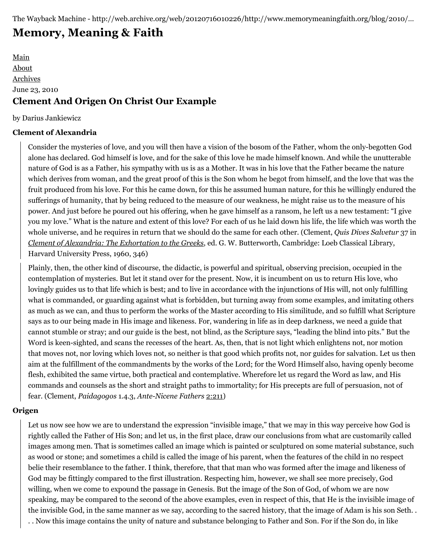# **[Memory, Meaning & Faith](http://web.archive.org/web/20120716010226/http://www.memorymeaningfaith.org/blog/)**

[Main](http://web.archive.org/web/20120716010226/http://www.memorymeaningfaith.org/blog) [About](http://web.archive.org/web/20120716010226/http://www.memorymeaningfaith.org/blog/about.html) [Archives](http://web.archive.org/web/20120716010226/http://www.memorymeaningfaith.org/blog/archives.html) June 23, 2010 **Clement And Origen On Christ Our Example**

#### by Darius Jankiewicz

#### **Clement of Alexandria**

Consider the mysteries of love, and you will then have a vision of the bosom of the Father, whom the only-begotten God alone has declared. God himself is love, and for the sake of this love he made himself known. And while the unutterable nature of God is as a Father, his sympathy with us is as a Mother. It was in his love that the Father became the nature which derives from woman, and the great proof of this is the Son whom he begot from himself, and the love that was the fruit produced from his love. For this he came down, for this he assumed human nature, for this he willingly endured the sufferings of humanity, that by being reduced to the measure of our weakness, he might raise us to the measure of his power. And just before he poured out his offering, when he gave himself as a ransom, he left us a new testament: "I give you my love." What is the nature and extent of this love? For each of us he laid down his life, the life which was worth the whole universe, and he requires in return that we should do the same for each other. (Clement, *Quis Dives Salvetur* 37 in *[Clement of Alexandria: The Exhortation to the Greeks](http://web.archive.org/web/20120716010226/http://www.amazon.com/Clement-Alexandria-Exhortation-Salvation-Classical/dp/0674991036)*, ed. G. W. Butterworth, Cambridge: Loeb Classical Library, Harvard University Press, 1960, 346)

Plainly, then, the other kind of discourse, the didactic, is powerful and spiritual, observing precision, occupied in the contemplation of mysteries. But let it stand over for the present. Now, it is incumbent on us to return His love, who lovingly guides us to that life which is best; and to live in accordance with the injunctions of His will, not only fulfilling what is commanded, or guarding against what is forbidden, but turning away from some examples, and imitating others as much as we can, and thus to perform the works of the Master according to His similitude, and so fulfill what Scripture says as to our being made in His image and likeness. For, wandering in life as in deep darkness, we need a guide that cannot stumble or stray; and our guide is the best, not blind, as the Scripture says, "leading the blind into pits." But the Word is keen-sighted, and scans the recesses of the heart. As, then, that is not light which enlightens not, nor motion that moves not, nor loving which loves not, so neither is that good which profits not, nor guides for salvation. Let us then aim at the fulfillment of the commandments by the works of the Lord; for the Word Himself also, having openly become flesh, exhibited the same virtue, both practical and contemplative. Wherefore let us regard the Word as law, and His commands and counsels as the short and straight paths to immortality; for His precepts are full of persuasion, not of fear. (Clement, *Paidagogos* 1.4.3, *Ante-Nicene Fathers* [2:211](http://web.archive.org/web/20120716010226/http://www.ccel.org/ccel/schaff/anf02.vi.iii.i.iii.html))

### **Origen**

Let us now see how we are to understand the expression "invisible image," that we may in this way perceive how God is rightly called the Father of His Son; and let us, in the first place, draw our conclusions from what are customarily called images among men. That is sometimes called an image which is painted or sculptured on some material substance, such as wood or stone; and sometimes a child is called the image of his parent, when the features of the child in no respect belie their resemblance to the father. I think, therefore, that that man who was formed after the image and likeness of God may be fittingly compared to the first illustration. Respecting him, however, we shall see more precisely, God willing, when we come to expound the passage in Genesis. But the image of the Son of God, of whom we are now speaking, may be compared to the second of the above examples, even in respect of this, that He is the invisible image of the invisible God, in the same manner as we say, according to the sacred history, that the image of Adam is his son Seth. . . . Now this image contains the unity of nature and substance belonging to Father and Son. For if the Son do, in like